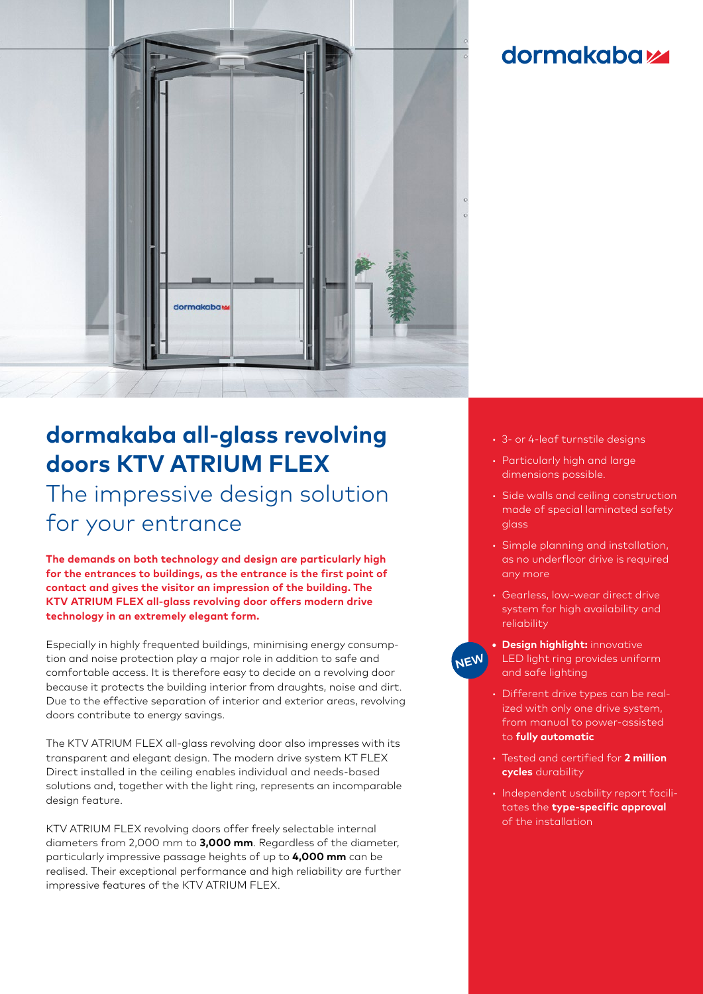

## **dormakabazz**

# **dormakaba all-glass revolving doors KTV ATRIUM FLEX**

The impressive design solution for your entrance

**The demands on both technology and design are particularly high for the entrances to buildings, as the entrance is the first point of contact and gives the visitor an impression of the building. The KTV ATRIUM FLEX all-glass revolving door offers modern drive technology in an extremely elegant form.**

Especially in highly frequented buildings, minimising energy consumption and noise protection play a major role in addition to safe and comfortable access. It is therefore easy to decide on a revolving door because it protects the building interior from draughts, noise and dirt. Due to the effective separation of interior and exterior areas, revolving doors contribute to energy savings.

The KTV ATRIUM FLEX all-glass revolving door also impresses with its transparent and elegant design. The modern drive system KT FLEX Direct installed in the ceiling enables individual and needs-based solutions and, together with the light ring, represents an incomparable design feature.

KTV ATRIUM FLEX revolving doors offer freely selectable internal diameters from 2,000 mm to **3,000 mm**. Regardless of the diameter, particularly impressive passage heights of up to **4,000 mm** can be realised. Their exceptional performance and high reliability are further impressive features of the KTV ATRIUM FLEX.

- 3- or 4-leaf turnstile designs
- Particularly high and large dimensions possible.
- Side walls and ceiling construction made of special laminated safety glass
- Simple planning and installation, as no underfloor drive is required any more
- Gearless, low-wear direct drive system for high availability and reliability
- **• Design highlight:** innovative LED light ring provides uniform and safe lighting **NEW**
	- Different drive types can be realized with only one drive system, from manual to power-assisted to **fully automatic**
	- Tested and certified for **2 million cycles** durability
	- Independent usability report facilitates the **type-specific approval** of the installation